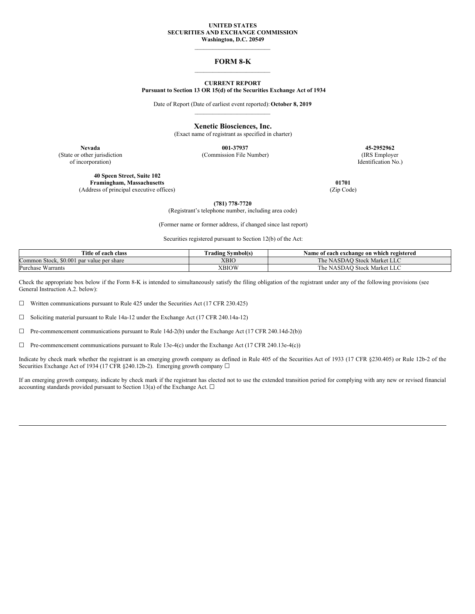### **UNITED STATES SECURITIES AND EXCHANGE COMMISSION Washington, D.C. 20549**

\_\_\_\_\_\_\_\_\_\_\_\_\_\_\_\_\_\_\_\_\_\_\_\_\_

# **FORM 8-K**  $\mathcal{L}_\text{max}$

### **CURRENT REPORT Pursuant to Section 13 OR 15(d) of the Securities Exchange Act of 1934**

Date of Report (Date of earliest event reported): **October 8, 2019**  $\mathcal{L}_\text{max}$ 

## **Xenetic Biosciences, Inc.**

(Exact name of registrant as specified in charter)

(State or other jurisdiction (Commission File Number) (IRS Employer<br>
of incorporation) (IRS Employer<br>
Identification No

**Nevada 001-37937 45-2952962**

**40 Speen Street, Suite 102 Framingham, Massachusetts 01701** (Address of principal executive offices) (Zip Code)

Identification No.)

**(781) 778-7720**

(Registrant's telephone number, including area code)

(Former name or former address, if changed since last report)

Securities registered pursuant to Section 12(b) of the Act:

| Title<br>of each class                       | Urading Symbol(s. | Name of each exchange on which registered |
|----------------------------------------------|-------------------|-------------------------------------------|
| Common Stock, \$0,001<br>par value per share | XBIC              | The<br>∴ O Stock Market LLC<br>NASDAO.    |
| $-1$<br>Purchase<br>Warrants                 | XBIOW             | ' Stock Market LLC<br>NASDAC<br>LНU       |

Check the appropriate box below if the Form 8-K is intended to simultaneously satisfy the filing obligation of the registrant under any of the following provisions (see General Instruction A.2. below):

☐ Written communications pursuant to Rule 425 under the Securities Act (17 CFR 230.425)

 $\Box$  Soliciting material pursuant to Rule 14a-12 under the Exchange Act (17 CFR 240.14a-12)

☐ Pre-commencement communications pursuant to Rule 14d-2(b) under the Exchange Act (17 CFR 240.14d-2(b))

☐ Pre-commencement communications pursuant to Rule 13e-4(c) under the Exchange Act (17 CFR 240.13e-4(c))

Indicate by check mark whether the registrant is an emerging growth company as defined in Rule 405 of the Securities Act of 1933 (17 CFR §230.405) or Rule 12b-2 of the Securities Exchange Act of 1934 (17 CFR §240.12b-2). Emerging growth company □

If an emerging growth company, indicate by check mark if the registrant has elected not to use the extended transition period for complying with any new or revised financial accounting standards provided pursuant to Section 13(a) of the Exchange Act.  $\Box$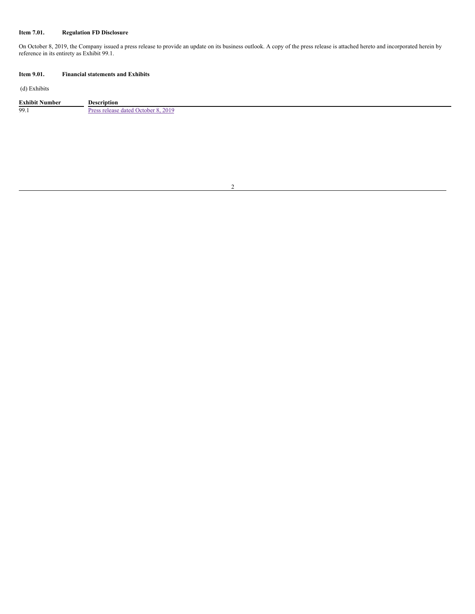# **Item 7.01. Regulation FD Disclosure**

On October 8, 2019, the Company issued a press release to provide an update on its business outlook. A copy of the press release is attached hereto and incorporated herein by reference in its entirety as Exhibit 99.1.

# **Item 9.01. Financial statements and Exhibits**

# (d) Exhibits

| <b>Exhibit Number</b> | Description                       |
|-----------------------|-----------------------------------|
| 99.1                  | 2019<br>October<br>dated:<br>ease |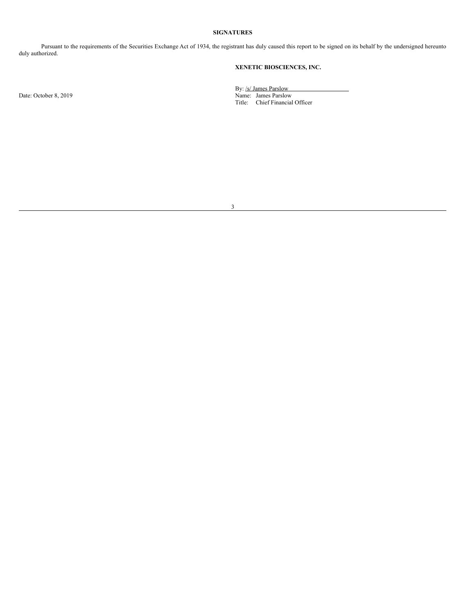# **SIGNATURES**

Pursuant to the requirements of the Securities Exchange Act of 1934, the registrant has duly caused this report to be signed on its behalf by the undersigned hereunto duly authorized.

# **XENETIC BIOSCIENCES, INC.**

By: /s/ James Parslow Date: October 8, 2019 Name: James Parslow Title: Chief Financial Officer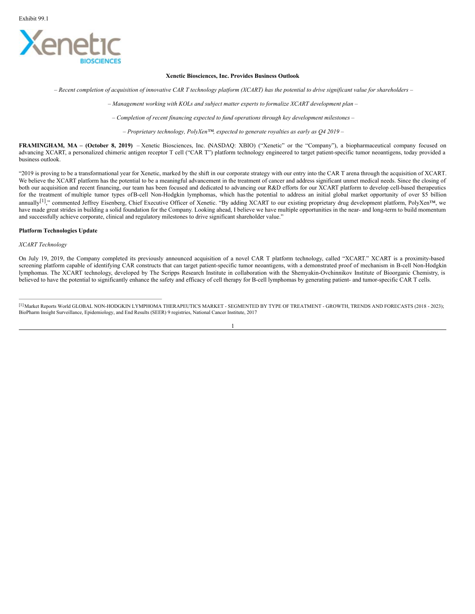

#### **Xenetic Biosciences, Inc. Provides Business Outlook**

 $-$  Recent completion of acquisition of innovative CAR T technology platform (XCART) has the potential to drive significant value for shareholders  $-$ 

*– Management working with KOLs and subject matter experts to formalize XCART development plan –*

*– Completion of recent financing expected to fund operations through key development milestones –*

*– Proprietary technology, PolyXen™, expected to generate royalties as early as Q4 2019 –*

**FRAMINGHAM, MA – (October 8, 2019)** – Xenetic Biosciences, Inc. (NASDAQ: XBIO) ("Xenetic" or the "Company"), a biopharmaceutical company focused on advancing XCART, a personalized chimeric antigen receptor T cell ("CAR T") platform technology engineered to target patient-specific tumor neoantigens, today provided a business outlook.

"2019 is proving to be a transformational year for Xenetic, marked by the shift in our corporate strategy with our entry into the CAR T arena through the acquisition of XCART. We believe the XCART platform has the potential to be a meaningful advancement in the treatment of cancer and address significant unmet medical needs. Since the closing of both our acquisition and recent financing, our team has been focused and dedicated to advancing our R&D efforts for our XCART platform to develop cell-based therapeutics for the treatment of multiple tumor types of B-cell Non-Hodgkin lymphomas, which has the potential to address an initial global market opportunity of over \$5 billion annually<sup>[1]</sup>," commented Jeffrey Eisenberg, Chief Executive Officer of Xenetic. "By adding XCART to our existing proprietary drug development platform, PolyXen<sup>TM</sup>, we have made great strides in building a solid foundation for the Company. Looking ahead, I believe we have multiple opportunities in the near- and long-term to build momentum and successfully achieve corporate, clinical and regulatory milestones to drive significant shareholder value."

#### **Platform Technologies Update**

#### *XCART Technology*

On July 19, 2019, the Company completed its previously announced acquisition of a novel CAR T platform technology, called "XCART." XCART is a proximity-based screening platform capable of identifying CAR constructs that can target patient-specific tumor neoantigens, with a demonstrated proof of mechanism in B-cell Non-Hodgkin lymphomas. The XCART technology, developed by The Scripps Research Institute in collaboration with the Shemyakin-Ovchinnikov Institute of Bioorganic Chemistry, is believed to have the potential to significantly enhance the safety and efficacy of cell therapy for B-cell lymphomas by generating patient- and tumor-specific CAR T cells.

[1]Market Reports World GLOBAL NON-HODGKIN LYMPHOMA THERAPEUTICS MARKET - SEGMENTED BY TYPE OF TREATMENT - GROWTH, TRENDS AND FORECASTS (2018 - 2023); BioPharm Insight Surveillance, Epidemiology, and End Results (SEER) 9 registries, National Cancer Institute, 2017

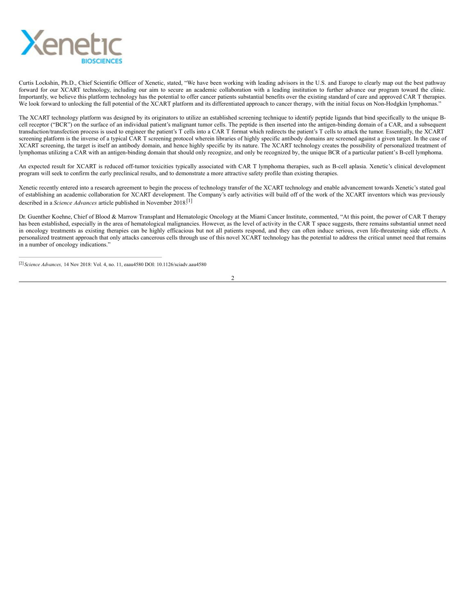<span id="page-4-0"></span>

Curtis Lockshin, Ph.D., Chief Scientific Officer of Xenetic, stated, "We have been working with leading advisors in the U.S. and Europe to clearly map out the best pathway forward for our XCART technology, including our aim to secure an academic collaboration with a leading institution to further advance our program toward the clinic. Importantly, we believe this platform technology has the potential to offer cancer patients substantial benefits over the existing standard of care and approved CAR T therapies. We look forward to unlocking the full potential of the XCART platform and its differentiated approach to cancer therapy, with the initial focus on Non-Hodgkin lymphomas."

The XCART technology platform was designed by its originators to utilize an established screening technique to identify peptide ligands that bind specifically to the unique Bcell receptor ("BCR") on the surface of an individual patient's malignant tumor cells. The peptide is then inserted into the antigen-binding domain of a CAR, and a subsequent transduction/transfection process is used to engineer the patient's T cells into a CAR T format which redirects the patient's T cells to attack the tumor. Essentially, the XCART screening platform is the inverse of a typical CAR T screening protocol wherein libraries of highly specific antibody domains are screened against a given target. In the case of XCART screening, the target is itself an antibody domain, and hence highly specific by its nature. The XCART technology creates the possibility of personalized treatment of lymphomas utilizing a CAR with an antigen-binding domain that should only recognize, and only be recognized by, the unique BCR of a particular patient's B-cell lymphoma.

An expected result for XCART is reduced off-tumor toxicities typically associated with CAR T lymphoma therapies, such as B-cell aplasia. Xenetic's clinical development program will seek to confirm the early preclinical results, and to demonstrate a more attractive safety profile than existing therapies.

Xenetic recently entered into a research agreement to begin the process of technology transfer of the XCART technology and enable advancement towards Xenetic's stated goal of establishing an academic collaboration for XCART development. The Company's early activities will build off of the work of the XCART inventors which was previously described in a *Science Advances* article published in November 2018. [1]

Dr. Guenther Koehne, Chief of Blood & Marrow Transplant and Hematologic Oncology at the Miami Cancer Institute, commented, "At this point, the power of CAR T therapy has been established, especially in the area of hematological malignancies. However, as the level of activity in the CAR T space suggests, there remains substantial unmet need in oncology treatments as existing therapies can be highly efficacious but not all patients respond, and they can often induce serious, even life-threatening side effects. A personalized treatment approach that only attacks cancerous cells through use of this novel XCART technology has the potential to address the critical unmet need that remains in a number of oncology indications."

[2] *Science Advances,* 14 Nov 2018: Vol. 4, no. 11, eaau4580 DOI: 10.1126/sciadv.aau4580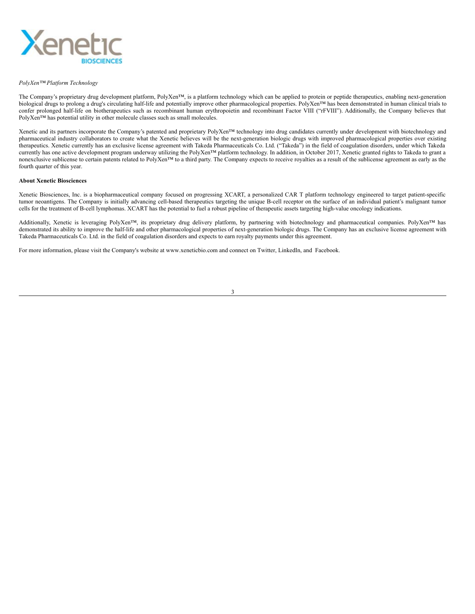

# *PolyXen™ Platform Technology*

The Company's proprietary drug development platform, PolyXen™, is a platform technology which can be applied to protein or peptide therapeutics, enabling next-generation biological drugs to prolong a drug's circulating half-life and potentially improve other pharmacological properties. PolyXen™ has been demonstrated in human clinical trials to confer prolonged half-life on biotherapeutics such as recombinant human erythropoietin and recombinant Factor VIII ("rFVIII"). Additionally, the Company believes that PolyXen™ has potential utility in other molecule classes such as small molecules.

Xenetic and its partners incorporate the Company's patented and proprietary PolyXen™ technology into drug candidates currently under development with biotechnology and pharmaceutical industry collaborators to create what the Xenetic believes will be the next-generation biologic drugs with improved pharmacological properties over existing therapeutics. Xenetic currently has an exclusive license agreement with Takeda Pharmaceuticals Co. Ltd. ("Takeda") in the field of coagulation disorders, under which Takeda currently has one active development program underway utilizing the PolyXen™ platform technology. In addition, in October 2017, Xenetic granted rights to Takeda to grant a nonexclusive sublicense to certain patents related to PolyXen™ to a third party. The Company expects to receive royalties as a result of the sublicense agreement as early as the fourth quarter of this year.

### **About Xenetic Biosciences**

Xenetic Biosciences, Inc. is a biopharmaceutical company focused on progressing XCART, a personalized CAR T platform technology engineered to target patient-specific tumor neoantigens. The Company is initially advancing cell-based therapeutics targeting the unique B-cell receptor on the surface of an individual patient's malignant tumor cells for the treatment of B-cell lymphomas. XCART has the potential to fuel a robust pipeline of therapeutic assets targeting high-value oncology indications.

Additionally, Xenetic is leveraging PolyXen™, its proprietary drug delivery platform, by partnering with biotechnology and pharmaceutical companies. PolyXen™ has demonstrated its ability to improve the half-life and other pharmacological properties of next-generation biologic drugs. The Company has an exclusive license agreement with Takeda Pharmaceuticals Co. Ltd. in the field of coagulation disorders and expects to earn royalty payments under this agreement.

For more information, please visit the Company's website at www.xeneticbio.com and connect on Twitter, LinkedIn, and Facebook.